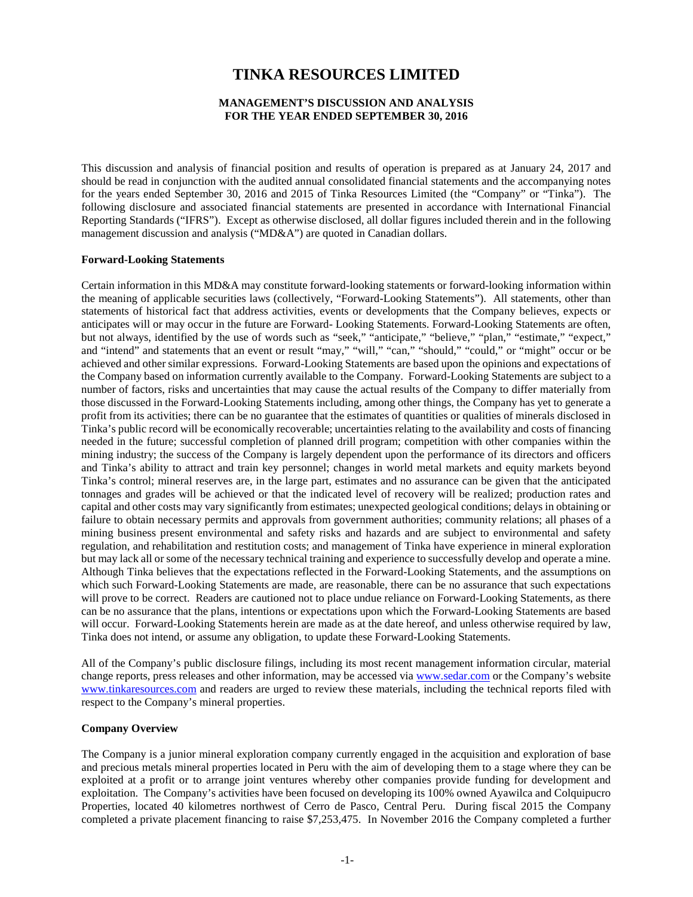# **TINKA RESOURCES LIMITED**

#### **MANAGEMENT'S DISCUSSION AND ANALYSIS FOR THE YEAR ENDED SEPTEMBER 30, 2016**

This discussion and analysis of financial position and results of operation is prepared as at January 24, 2017 and should be read in conjunction with the audited annual consolidated financial statements and the accompanying notes for the years ended September 30, 2016 and 2015 of Tinka Resources Limited (the "Company" or "Tinka"). The following disclosure and associated financial statements are presented in accordance with International Financial Reporting Standards ("IFRS"). Except as otherwise disclosed, all dollar figures included therein and in the following management discussion and analysis ("MD&A") are quoted in Canadian dollars.

#### **Forward-Looking Statements**

Certain information in this MD&A may constitute forward-looking statements or forward-looking information within the meaning of applicable securities laws (collectively, "Forward-Looking Statements"). All statements, other than statements of historical fact that address activities, events or developments that the Company believes, expects or anticipates will or may occur in the future are Forward- Looking Statements. Forward-Looking Statements are often, but not always, identified by the use of words such as "seek," "anticipate," "believe," "plan," "estimate," "expect," and "intend" and statements that an event or result "may," "will," "can," "should," "could," or "might" occur or be achieved and other similar expressions. Forward-Looking Statements are based upon the opinions and expectations of the Company based on information currently available to the Company. Forward-Looking Statements are subject to a number of factors, risks and uncertainties that may cause the actual results of the Company to differ materially from those discussed in the Forward-Looking Statements including, among other things, the Company has yet to generate a profit from its activities; there can be no guarantee that the estimates of quantities or qualities of minerals disclosed in Tinka's public record will be economically recoverable; uncertainties relating to the availability and costs of financing needed in the future; successful completion of planned drill program; competition with other companies within the mining industry; the success of the Company is largely dependent upon the performance of its directors and officers and Tinka's ability to attract and train key personnel; changes in world metal markets and equity markets beyond Tinka's control; mineral reserves are, in the large part, estimates and no assurance can be given that the anticipated tonnages and grades will be achieved or that the indicated level of recovery will be realized; production rates and capital and other costs may vary significantly from estimates; unexpected geological conditions; delays in obtaining or failure to obtain necessary permits and approvals from government authorities; community relations; all phases of a mining business present environmental and safety risks and hazards and are subject to environmental and safety regulation, and rehabilitation and restitution costs; and management of Tinka have experience in mineral exploration but may lack all or some of the necessary technical training and experience to successfully develop and operate a mine. Although Tinka believes that the expectations reflected in the Forward-Looking Statements, and the assumptions on which such Forward-Looking Statements are made, are reasonable, there can be no assurance that such expectations will prove to be correct. Readers are cautioned not to place undue reliance on Forward-Looking Statements, as there can be no assurance that the plans, intentions or expectations upon which the Forward-Looking Statements are based will occur. Forward-Looking Statements herein are made as at the date hereof, and unless otherwise required by law, Tinka does not intend, or assume any obligation, to update these Forward-Looking Statements.

All of the Company's public disclosure filings, including its most recent management information circular, material change reports, press releases and other information, may be accessed via [www.sedar.com](http://www.sedar.com/) or the Company's website [www.tinkaresources.com](http://www.tinkaresources.com/) and readers are urged to review these materials, including the technical reports filed with respect to the Company's mineral properties.

#### **Company Overview**

The Company is a junior mineral exploration company currently engaged in the acquisition and exploration of base and precious metals mineral properties located in Peru with the aim of developing them to a stage where they can be exploited at a profit or to arrange joint ventures whereby other companies provide funding for development and exploitation. The Company's activities have been focused on developing its 100% owned Ayawilca and Colquipucro Properties, located 40 kilometres northwest of Cerro de Pasco, Central Peru. During fiscal 2015 the Company completed a private placement financing to raise \$7,253,475. In November 2016 the Company completed a further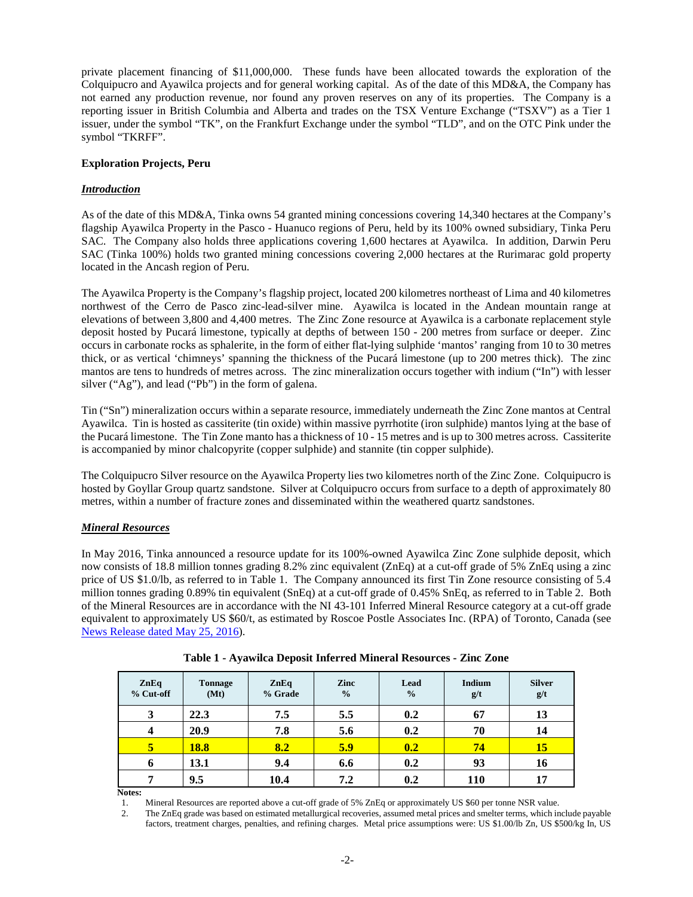private placement financing of \$11,000,000. These funds have been allocated towards the exploration of the Colquipucro and Ayawilca projects and for general working capital. As of the date of this MD&A, the Company has not earned any production revenue, nor found any proven reserves on any of its properties. The Company is a reporting issuer in British Columbia and Alberta and trades on the TSX Venture Exchange ("TSXV") as a Tier 1 issuer, under the symbol "TK", on the Frankfurt Exchange under the symbol "TLD", and on the OTC Pink under the symbol "TKRFF".

## **Exploration Projects, Peru**

## *Introduction*

As of the date of this MD&A, Tinka owns 54 granted mining concessions covering 14,340 hectares at the Company's flagship Ayawilca Property in the Pasco - Huanuco regions of Peru, held by its 100% owned subsidiary, Tinka Peru SAC. The Company also holds three applications covering 1,600 hectares at Ayawilca. In addition, Darwin Peru SAC (Tinka 100%) holds two granted mining concessions covering 2,000 hectares at the Rurimarac gold property located in the Ancash region of Peru.

The Ayawilca Property is the Company's flagship project, located 200 kilometres northeast of Lima and 40 kilometres northwest of the Cerro de Pasco zinc-lead-silver mine. Ayawilca is located in the Andean mountain range at elevations of between 3,800 and 4,400 metres. The Zinc Zone resource at Ayawilca is a carbonate replacement style deposit hosted by Pucará limestone, typically at depths of between 150 - 200 metres from surface or deeper. Zinc occurs in carbonate rocks as sphalerite, in the form of either flat-lying sulphide 'mantos' ranging from 10 to 30 metres thick, or as vertical 'chimneys' spanning the thickness of the Pucará limestone (up to 200 metres thick). The zinc mantos are tens to hundreds of metres across. The zinc mineralization occurs together with indium ("In") with lesser silver ("Ag"), and lead ("Pb") in the form of galena.

Tin ("Sn") mineralization occurs within a separate resource, immediately underneath the Zinc Zone mantos at Central Ayawilca. Tin is hosted as cassiterite (tin oxide) within massive pyrrhotite (iron sulphide) mantos lying at the base of the Pucará limestone. The Tin Zone manto has a thickness of 10 - 15 metres and is up to 300 metres across. Cassiterite is accompanied by minor chalcopyrite (copper sulphide) and stannite (tin copper sulphide).

The Colquipucro Silver resource on the Ayawilca Property lies two kilometres north of the Zinc Zone. Colquipucro is hosted by Goyllar Group quartz sandstone. Silver at Colquipucro occurs from surface to a depth of approximately 80 metres, within a number of fracture zones and disseminated within the weathered quartz sandstones.

## *Mineral Resources*

In May 2016, Tinka announced a resource update for its 100%-owned Ayawilca Zinc Zone sulphide deposit, which now consists of 18.8 million tonnes grading 8.2% zinc equivalent (ZnEq) at a cut-off grade of 5% ZnEq using a zinc price of US \$1.0/lb, as referred to in Table 1. The Company announced its first Tin Zone resource consisting of 5.4 million tonnes grading 0.89% tin equivalent (SnEq) at a cut-off grade of 0.45% SnEq, as referred to in Table 2. Both of the Mineral Resources are in accordance with the NI 43-101 Inferred Mineral Resource category at a cut-off grade equivalent to approximately US \$60/t, as estimated by Roscoe Postle Associates Inc. (RPA) of Toronto, Canada (see [News Release dated May 25, 2016\)](https://www.tinkaresources.com/news/tinka-increases-inferred-mineral-resources-at-ayawilca-zinc-resource-now-18-8-million-tonnes-at-8-2-zinc-eq-initial-tin-resource-5-4-million-tonnes-at-0-89-tin-eq).

| ZnEq<br>% Cut-off | <b>Tonnage</b><br>(Mt) | ZnEq<br>% Grade | Zinc<br>$\frac{0}{0}$ | Lead<br>$\frac{0}{0}$ | <b>Indium</b><br>g/t | <b>Silver</b><br>g/t |
|-------------------|------------------------|-----------------|-----------------------|-----------------------|----------------------|----------------------|
| 3                 | 22.3                   | 7.5             | 5.5                   | 0.2                   | 67                   | 13                   |
| $\overline{4}$    | 20.9                   | 7.8             | 5.6                   | 0.2                   | 70                   | 14                   |
| 5                 | <b>18.8</b>            | 8.2             | 5.9                   | 0.2                   | 74                   | 15                   |
| 6                 | 13.1                   | 9.4             | 6.6                   | 0.2                   | 93                   | 16                   |
| ៗ                 | 9.5                    | 10.4            | 7.2                   | 0.2                   | 110                  | 17                   |

**Table 1 - Ayawilca Deposit Inferred Mineral Resources - Zinc Zone**

**Notes:**

1. Mineral Resources are reported above a cut-off grade of 5% ZnEq or approximately US \$60 per tonne NSR value.

2. The ZnEq grade was based on estimated metallurgical recoveries, assumed metal prices and smelter terms, which include payable factors, treatment charges, penalties, and refining charges. Metal price assumptions were: US \$1.00/lb Zn, US \$500/kg In, US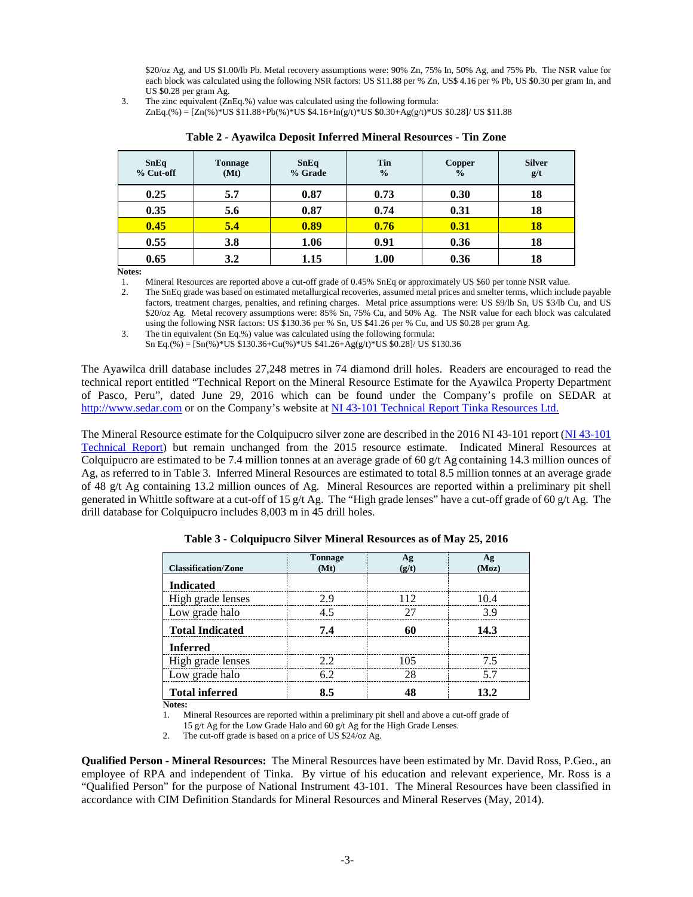\$20/oz Ag, and US \$1.00/lb Pb. Metal recovery assumptions were: 90% Zn, 75% In, 50% Ag, and 75% Pb. The NSR value for each block was calculated using the following NSR factors: US \$11.88 per % Zn, US\$ 4.16 per % Pb, US \$0.30 per gram In, and US \$0.28 per gram Ag.

3. The zinc equivalent (ZnEq.%) value was calculated using the following formula:

ZnEq.(%) = [Zn(%)\*US \$11.88+Pb(%)\*US \$4.16+In(g/t)\*US \$0.30+Ag(g/t)\*US \$0.28]/ US \$11.88

| <b>SnEq</b><br>% Cut-off | <b>Tonnage</b><br>(Mt) | <b>SnEq</b><br>% Grade | Tin<br>$\frac{0}{0}$ | Copper<br>$\frac{0}{0}$ | <b>Silver</b><br>g/t |
|--------------------------|------------------------|------------------------|----------------------|-------------------------|----------------------|
| 0.25                     | 5.7                    | 0.87                   | 0.73                 | 0.30                    | 18                   |
| 0.35                     | 5.6                    | 0.87                   | 0.74                 | 0.31                    | 18                   |
| 0.45                     | 5.4                    | 0.89                   | 0.76                 | 0.31                    | 18                   |
| 0.55                     | 3.8                    | 1.06                   | 0.91                 | 0.36                    | 18                   |
| 0.65                     | 3.2                    | 1.15                   | 1.00                 | 0.36                    | 18                   |

|  |  | Table 2 - Ayawilca Deposit Inferred Mineral Resources - Tin Zone |  |  |
|--|--|------------------------------------------------------------------|--|--|
|--|--|------------------------------------------------------------------|--|--|

**Notes:**

1. Mineral Resources are reported above a cut-off grade of 0.45% SnEq or approximately US \$60 per tonne NSR value.

2. The SnEq grade was based on estimated metallurgical recoveries, assumed metal prices and smelter terms, which include payable factors, treatment charges, penalties, and refining charges. Metal price assumptions were: US \$9/lb Sn, US \$3/lb Cu, and US \$20/oz Ag. Metal recovery assumptions were: 85% Sn, 75% Cu, and 50% Ag. The NSR value for each block was calculated using the following NSR factors: US \$130.36 per % Sn, US \$41.26 per % Cu, and US \$0.28 per gram Ag.

3. The tin equivalent (Sn Eq.%) value was calculated using the following formula:

Sn Eq.(%) =  $[Sn(\%)*US $130.36+Cu(\%)*US $41.26+Ag(g/t)*US $0.28]/US $130.36$ 

The Ayawilca drill database includes 27,248 metres in 74 diamond drill holes. Readers are encouraged to read the technical report entitled "Technical Report on the Mineral Resource Estimate for the Ayawilca Property Department of Pasco, Peru", dated June 29, 2016 which can be found under the Company's profile on SEDAR at [http://www.sedar.com](http://www.sedar.com/) or on the Company's website at [NI 43-101 Technical Report Tinka Resources Ltd.](https://www.tinkaresources.com/projects/technical-reports)

The Mineral Resource estimate for the Colquipucro silver zone are described in the 2016 NI 43-101 report (NI 43-101 [Technical Report\)](https://www.tinkaresources.com/projects/technical-reports) but remain unchanged from the 2015 resource estimate. Indicated Mineral Resources at Colquipucro are estimated to be 7.4 million tonnes at an average grade of 60  $g/t$  Ag containing 14.3 million ounces of Ag, as referred to in Table 3. Inferred Mineral Resources are estimated to total 8.5 million tonnes at an average grade of 48 g/t Ag containing 13.2 million ounces of Ag. Mineral Resources are reported within a preliminary pit shell generated in Whittle software at a cut-off of 15 g/t Ag. The "High grade lenses" have a cut-off grade of 60 g/t Ag. The drill database for Colquipucro includes 8,003 m in 45 drill holes.

| <b>Classification/Zone</b> | <b>Tonnage</b><br>(Mt) | AΩ  | Αg<br>(Moz) |
|----------------------------|------------------------|-----|-------------|
| <b>Indicated</b>           |                        |     |             |
| High grade lenses          | 7 Q                    | 112 | 104         |
| Low grade halo             | 45                     |     | 39          |
| <b>Total Indicated</b>     | 7.4                    |     | 14.3        |
| <b>Inferred</b>            |                        |     |             |
| High grade lenses          | フフ                     | 105 | 75          |
| Low grade halo             | 62                     | 28  | 57          |
| <b>Total inferred</b>      |                        |     | 13.2        |

**Table 3 - Colquipucro Silver Mineral Resources as of May 25, 2016**

**Notes:**

1. Mineral Resources are reported within a preliminary pit shell and above a cut-off grade of

15 g/t Ag for the Low Grade Halo and 60 g/t Ag for the High Grade Lenses.

2. The cut-off grade is based on a price of US \$24/oz Ag.

**Qualified Person - Mineral Resources:** The Mineral Resources have been estimated by Mr. David Ross, P.Geo., an employee of RPA and independent of Tinka. By virtue of his education and relevant experience, Mr. Ross is a "Qualified Person" for the purpose of National Instrument 43-101. The Mineral Resources have been classified in accordance with CIM Definition Standards for Mineral Resources and Mineral Reserves (May, 2014).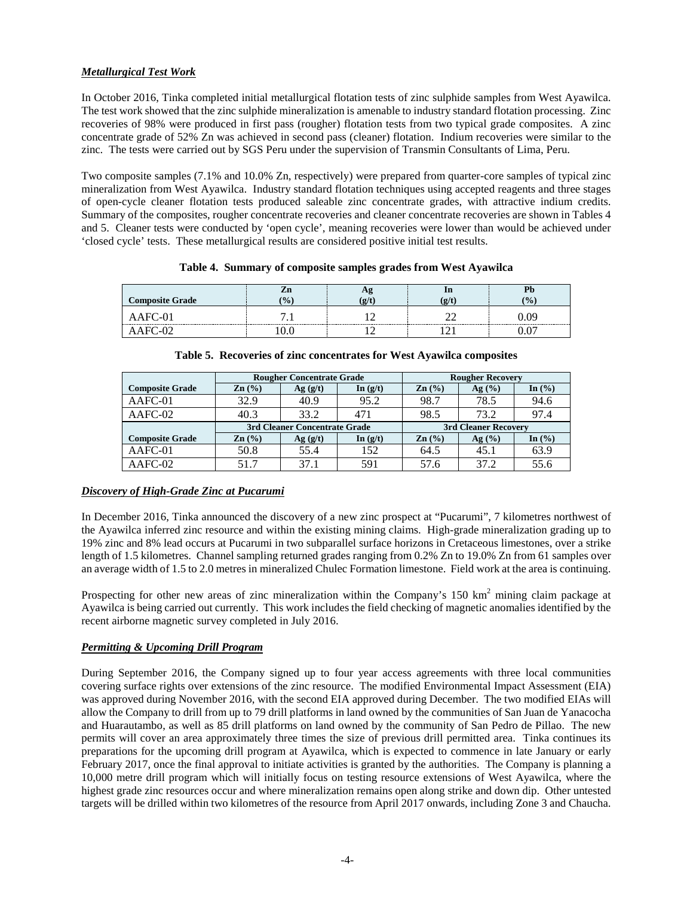## *Metallurgical Test Work*

In October 2016, Tinka completed initial metallurgical flotation tests of zinc sulphide samples from West Ayawilca. The test work showed that the zinc sulphide mineralization is amenable to industry standard flotation processing. Zinc recoveries of 98% were produced in first pass (rougher) flotation tests from two typical grade composites. A zinc concentrate grade of 52% Zn was achieved in second pass (cleaner) flotation. Indium recoveries were similar to the zinc. The tests were carried out by SGS Peru under the supervision of Transmin Consultants of Lima, Peru.

Two composite samples (7.1% and 10.0% Zn, respectively) were prepared from quarter-core samples of typical zinc mineralization from West Ayawilca. Industry standard flotation techniques using accepted reagents and three stages of open-cycle cleaner flotation tests produced saleable zinc concentrate grades, with attractive indium credits. Summary of the composites, rougher concentrate recoveries and cleaner concentrate recoveries are shown in Tables 4 and 5. Cleaner tests were conducted by 'open cycle', meaning recoveries were lower than would be achieved under 'closed cycle' tests. These metallurgical results are considered positive initial test results.

| <b>Composite Grade</b> | $\overline{1}$ | ш | $\frac{1}{2}$ |
|------------------------|----------------|---|---------------|
| $\cdots$               |                |   |               |
|                        |                |   |               |

| Table 4. Summary of composite samples grades from West Ayawilca |  |  |  |  |
|-----------------------------------------------------------------|--|--|--|--|
|                                                                 |  |  |  |  |

|                        |                   | <b>Rougher Concentrate Grade</b> |            | <b>Rougher Recovery</b> |           |                               |  |
|------------------------|-------------------|----------------------------------|------------|-------------------------|-----------|-------------------------------|--|
| <b>Composite Grade</b> | $\mathbf{Zn}$ (%) | Ag(g/t)                          | In $(g/t)$ | $\mathbf{Zn}$ (%)       | Ag (%)    | In $\left(\frac{9}{6}\right)$ |  |
| AAFC-01                | 32.9              | 40.9                             | 95.2       | 98.7                    | 78.5      | 94.6                          |  |
| AAFC-02                | 40.3              | 33.2                             | 471        | 98.5                    | 73.2      | 97.4                          |  |
|                        |                   | 3rd Cleaner Concentrate Grade    |            | 3rd Cleaner Recovery    |           |                               |  |
| <b>Composite Grade</b> | $\mathbf{Zn}$ (%) | Ag(g/t)                          | In $(g/t)$ | $\mathbf{Zn}$ (%)       | Ag $(\%)$ | In $\left(\frac{9}{6}\right)$ |  |
|                        |                   |                                  |            |                         |           |                               |  |
| AAFC-01                | 50.8              | 55.4                             | 152        | 64.5                    | 45.1      | 63.9                          |  |

#### **Table 5. Recoveries of zinc concentrates for West Ayawilca composites**

## *Discovery of High-Grade Zinc at Pucarumi*

In December 2016, Tinka announced the discovery of a new zinc prospect at "Pucarumi", 7 kilometres northwest of the Ayawilca inferred zinc resource and within the existing mining claims. High-grade mineralization grading up to 19% zinc and 8% lead occurs at Pucarumi in two subparallel surface horizons in Cretaceous limestones, over a strike length of 1.5 kilometres. Channel sampling returned grades ranging from 0.2% Zn to 19.0% Zn from 61 samples over an average width of 1.5 to 2.0 metres in mineralized Chulec Formation limestone. Field work at the area is continuing.

Prospecting for other new areas of zinc mineralization within the Company's 150 km<sup>2</sup> mining claim package at Ayawilca is being carried out currently. This work includes the field checking of magnetic anomalies identified by the recent airborne magnetic survey completed in July 2016.

## *Permitting & Upcoming Drill Program*

During September 2016, the Company signed up to four year access agreements with three local communities covering surface rights over extensions of the zinc resource. The modified Environmental Impact Assessment (EIA) was approved during November 2016, with the second EIA approved during December. The two modified EIAs will allow the Company to drill from up to 79 drill platforms in land owned by the communities of San Juan de Yanacocha and Huarautambo, as well as 85 drill platforms on land owned by the community of San Pedro de Pillao. The new permits will cover an area approximately three times the size of previous drill permitted area. Tinka continues its preparations for the upcoming drill program at Ayawilca, which is expected to commence in late January or early February 2017, once the final approval to initiate activities is granted by the authorities. The Company is planning a 10,000 metre drill program which will initially focus on testing resource extensions of West Ayawilca, where the highest grade zinc resources occur and where mineralization remains open along strike and down dip. Other untested targets will be drilled within two kilometres of the resource from April 2017 onwards, including Zone 3 and Chaucha.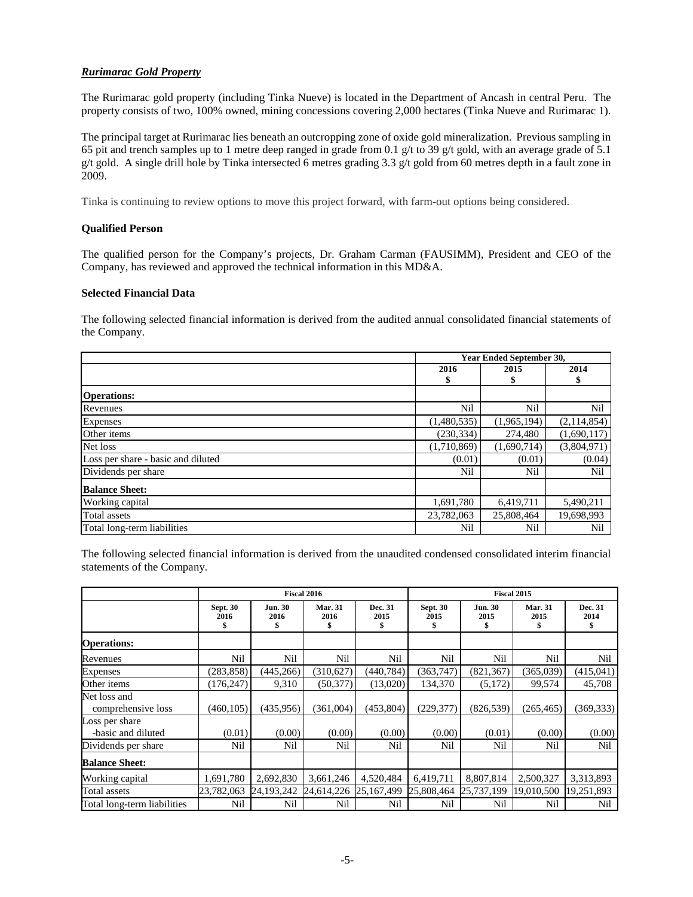## *Rurimarac Gold Property*

The Rurimarac gold property (including Tinka Nueve) is located in the Department of Ancash in central Peru. The property consists of two, 100% owned, mining concessions covering 2,000 hectares (Tinka Nueve and Rurimarac 1).

The principal target at Rurimarac lies beneath an outcropping zone of oxide gold mineralization. Previous sampling in 65 pit and trench samples up to 1 metre deep ranged in grade from 0.1 g/t to 39 g/t gold, with an average grade of 5.1 g/t gold. A single drill hole by Tinka intersected 6 metres grading 3.3 g/t gold from 60 metres depth in a fault zone in 2009.

Tinka is continuing to review options to move this project forward, with farm-out options being considered.

## **Qualified Person**

The qualified person for the Company's projects, Dr. Graham Carman (FAUSIMM), President and CEO of the Company, has reviewed and approved the technical information in this MD&A.

#### **Selected Financial Data**

The following selected financial information is derived from the audited annual consolidated financial statements of the Company.

|                                    | <b>Year Ended September 30,</b> |             |             |  |
|------------------------------------|---------------------------------|-------------|-------------|--|
|                                    | 2016                            | 2015        | 2014<br>\$  |  |
| <b>Operations:</b>                 |                                 |             |             |  |
| Revenues                           | Nil                             | Nil         | Nil         |  |
| <b>Expenses</b>                    | (1,480,535)                     | (1,965,194) | (2,114,854) |  |
| Other items                        | (230, 334)                      | 274,480     | (1,690,117) |  |
| Net loss                           | (1,710,869)                     | (1,690,714) | (3,804,971) |  |
| Loss per share - basic and diluted | (0.01)                          | (0.01)      | (0.04)      |  |
| Dividends per share                | Nil                             | Nil         | Nil         |  |
| <b>Balance Sheet:</b>              |                                 |             |             |  |
| Working capital                    | 1,691,780                       | 6,419,711   | 5,490,211   |  |
| Total assets                       | 23,782,063                      | 25,808,464  | 19,698,993  |  |
| Total long-term liabilities        | Nil                             | Nil         | Nil         |  |

The following selected financial information is derived from the unaudited condensed consolidated interim financial statements of the Company.

|                                      | Fiscal 2016             |                             |                        |                       |                         | <b>Fiscal 2015</b>     |                        |                 |
|--------------------------------------|-------------------------|-----------------------------|------------------------|-----------------------|-------------------------|------------------------|------------------------|-----------------|
|                                      | <b>Sept. 30</b><br>2016 | <b>Jun. 30</b><br>2016<br>S | <b>Mar. 31</b><br>2016 | Dec. 31<br>2015<br>\$ | <b>Sept. 30</b><br>2015 | <b>Jun. 30</b><br>2015 | <b>Mar. 31</b><br>2015 | Dec. 31<br>2014 |
| <b>Operations:</b>                   |                         |                             |                        |                       |                         |                        |                        |                 |
| Revenues                             | Nil                     | Nil                         | Nil                    | Nil                   | Nil                     | Nil                    | Nil                    | Nil             |
| <b>Expenses</b>                      | (283, 858)              | (445, 266)                  | (310, 627)             | (440, 784)            | (363,747)               | (821, 367)             | (365,039)              | (415,041)       |
| Other items                          | (176, 247)              | 9,310                       | (50, 377)              | (13,020)              | 134,370                 | (5,172)                | 99,574                 | 45,708          |
| Net loss and<br>comprehensive loss   | (460, 105)              | (435,956)                   | (361,004)              | (453, 804)            | (229, 377)              | (826, 539)             | (265, 465)             | (369, 333)      |
| Loss per share<br>-basic and diluted | (0.01)                  | (0.00)                      | (0.00)                 | (0.00)                | (0.00)                  | (0.01)                 | (0.00)                 | (0.00)          |
| Dividends per share                  | Nil                     | Nil                         | Nil                    | Nil                   | Nil                     | Nil                    | Nil                    | Nil             |
| <b>Balance Sheet:</b>                |                         |                             |                        |                       |                         |                        |                        |                 |
| Working capital                      | 1,691,780               | 2,692,830                   | 3,661,246              | 4,520,484             | 6,419,711               | 8,807,814              | 2,500,327              | 3,313,893       |
| Total assets                         | 23,782,063              | 24,193,242                  | 24,614,226             | 25,167,499            | 25,808,464              | 25,737,199             | 19,010,500             | 19,251,893      |
| Total long-term liabilities          | Nil                     | Nil                         | Nil                    | Nil                   | Nil                     | Nil                    | Nil                    | Nil             |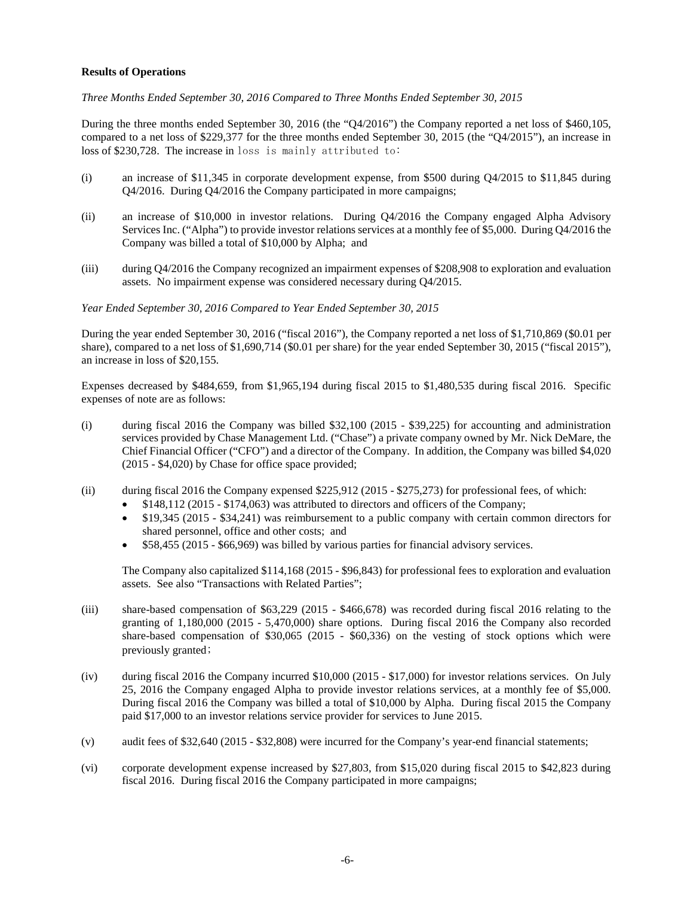## **Results of Operations**

*Three Months Ended September 30, 2016 Compared to Three Months Ended September 30, 2015*

During the three months ended September 30, 2016 (the "Q4/2016") the Company reported a net loss of \$460,105, compared to a net loss of \$229,377 for the three months ended September 30, 2015 (the "Q4/2015"), an increase in loss of \$230,728. The increase in loss is mainly attributed to:

- (i) an increase of \$11,345 in corporate development expense, from \$500 during Q4/2015 to \$11,845 during Q4/2016. During Q4/2016 the Company participated in more campaigns;
- (ii) an increase of \$10,000 in investor relations. During Q4/2016 the Company engaged Alpha Advisory Services Inc. ("Alpha") to provide investor relations services at a monthly fee of \$5,000. During Q4/2016 the Company was billed a total of \$10,000 by Alpha; and
- (iii) during Q4/2016 the Company recognized an impairment expenses of \$208,908 to exploration and evaluation assets. No impairment expense was considered necessary during Q4/2015.

#### *Year Ended September 30, 2016 Compared to Year Ended September 30, 2015*

During the year ended September 30, 2016 ("fiscal 2016"), the Company reported a net loss of \$1,710,869 (\$0.01 per share), compared to a net loss of \$1,690,714 (\$0.01 per share) for the year ended September 30, 2015 ("fiscal 2015"), an increase in loss of \$20,155.

Expenses decreased by \$484,659, from \$1,965,194 during fiscal 2015 to \$1,480,535 during fiscal 2016. Specific expenses of note are as follows:

- (i) during fiscal 2016 the Company was billed \$32,100 (2015 \$39,225) for accounting and administration services provided by Chase Management Ltd. ("Chase") a private company owned by Mr. Nick DeMare, the Chief Financial Officer ("CFO") and a director of the Company. In addition, the Company was billed \$4,020 (2015 - \$4,020) by Chase for office space provided;
- (ii) during fiscal 2016 the Company expensed \$225,912 (2015 \$275,273) for professional fees, of which:
	- \$148,112 (2015 \$174,063) was attributed to directors and officers of the Company;
	- \$19,345 (2015 \$34,241) was reimbursement to a public company with certain common directors for shared personnel, office and other costs; and
	- \$58,455 (2015 \$66,969) was billed by various parties for financial advisory services.

The Company also capitalized \$114,168 (2015 - \$96,843) for professional fees to exploration and evaluation assets. See also "Transactions with Related Parties";

- (iii) share-based compensation of \$63,229 (2015 \$466,678) was recorded during fiscal 2016 relating to the granting of 1,180,000 (2015 - 5,470,000) share options. During fiscal 2016 the Company also recorded share-based compensation of \$30,065 (2015 - \$60,336) on the vesting of stock options which were previously granted;
- (iv) during fiscal 2016 the Company incurred \$10,000 (2015 \$17,000) for investor relations services. On July 25, 2016 the Company engaged Alpha to provide investor relations services, at a monthly fee of \$5,000. During fiscal 2016 the Company was billed a total of \$10,000 by Alpha. During fiscal 2015 the Company paid \$17,000 to an investor relations service provider for services to June 2015.
- (v) audit fees of \$32,640 (2015 \$32,808) were incurred for the Company's year-end financial statements;
- (vi) corporate development expense increased by \$27,803, from \$15,020 during fiscal 2015 to \$42,823 during fiscal 2016. During fiscal 2016 the Company participated in more campaigns;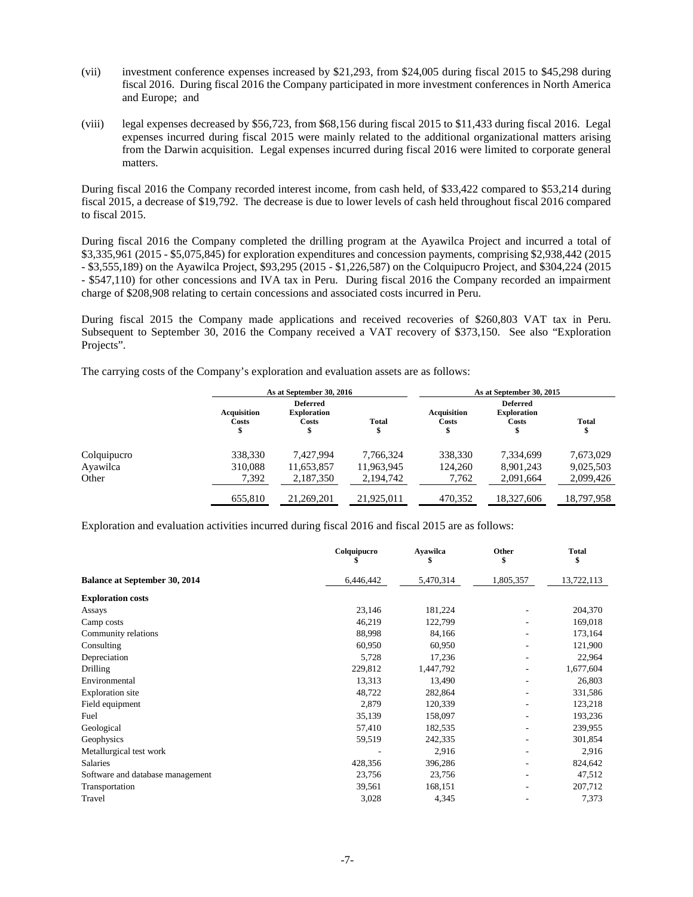- (vii) investment conference expenses increased by \$21,293, from \$24,005 during fiscal 2015 to \$45,298 during fiscal 2016. During fiscal 2016 the Company participated in more investment conferences in North America and Europe; and
- (viii) legal expenses decreased by \$56,723, from \$68,156 during fiscal 2015 to \$11,433 during fiscal 2016. Legal expenses incurred during fiscal 2015 were mainly related to the additional organizational matters arising from the Darwin acquisition. Legal expenses incurred during fiscal 2016 were limited to corporate general matters.

During fiscal 2016 the Company recorded interest income, from cash held, of \$33,422 compared to \$53,214 during fiscal 2015, a decrease of \$19,792. The decrease is due to lower levels of cash held throughout fiscal 2016 compared to fiscal 2015.

During fiscal 2016 the Company completed the drilling program at the Ayawilca Project and incurred a total of \$3,335,961 (2015 - \$5,075,845) for exploration expenditures and concession payments, comprising \$2,938,442 (2015 - \$3,555,189) on the Ayawilca Project, \$93,295 (2015 - \$1,226,587) on the Colquipucro Project, and \$304,224 (2015 - \$547,110) for other concessions and IVA tax in Peru. During fiscal 2016 the Company recorded an impairment charge of \$208,908 relating to certain concessions and associated costs incurred in Peru.

During fiscal 2015 the Company made applications and received recoveries of \$260,803 VAT tax in Peru. Subsequent to September 30, 2016 the Company received a VAT recovery of \$373,150. See also "Exploration Projects".

The carrying costs of the Company's exploration and evaluation assets are as follows:

|             | As at September 30, 2016    |                                                |            | As at September 30, 2015    |                                                |              |  |
|-------------|-----------------------------|------------------------------------------------|------------|-----------------------------|------------------------------------------------|--------------|--|
|             | <b>Acquisition</b><br>Costs | <b>Deferred</b><br><b>Exploration</b><br>Costs | Total      | <b>Acquisition</b><br>Costs | <b>Deferred</b><br><b>Exploration</b><br>Costs | <b>Total</b> |  |
| Colquipucro | 338,330                     | 7.427.994                                      | 7.766.324  | 338,330                     | 7.334.699                                      | 7,673,029    |  |
| Ayawilca    | 310.088                     | 11,653,857                                     | 11,963,945 | 124.260                     | 8,901,243                                      | 9,025,503    |  |
| Other       | 7,392                       | 2,187,350                                      | 2,194,742  | 7,762                       | 2,091,664                                      | 2,099,426    |  |
|             | 655,810                     | 21,269,201                                     | 21.925.011 | 470,352                     | 18,327,606                                     | 18,797,958   |  |

Exploration and evaluation activities incurred during fiscal 2016 and fiscal 2015 are as follows:

|                                      | Colquipucro | Ayawilca<br>S | Other<br>\$              | <b>Total</b><br>\$ |
|--------------------------------------|-------------|---------------|--------------------------|--------------------|
| <b>Balance at September 30, 2014</b> | 6,446,442   | 5,470,314     | 1,805,357                | 13,722,113         |
| <b>Exploration costs</b>             |             |               |                          |                    |
| Assays                               | 23,146      | 181,224       |                          | 204,370            |
| Camp costs                           | 46,219      | 122,799       |                          | 169,018            |
| Community relations                  | 88,998      | 84,166        | $\overline{\phantom{a}}$ | 173,164            |
| Consulting                           | 60,950      | 60,950        | ٠                        | 121,900            |
| Depreciation                         | 5,728       | 17,236        | ٠                        | 22,964             |
| Drilling                             | 229,812     | 1,447,792     | ٠                        | 1,677,604          |
| Environmental                        | 13,313      | 13,490        |                          | 26,803             |
| <b>Exploration</b> site              | 48,722      | 282,864       | ٠                        | 331,586            |
| Field equipment                      | 2,879       | 120,339       |                          | 123,218            |
| Fuel                                 | 35,139      | 158,097       |                          | 193,236            |
| Geological                           | 57,410      | 182,535       | ٠                        | 239,955            |
| Geophysics                           | 59,519      | 242,335       | ٠                        | 301,854            |
| Metallurgical test work              |             | 2,916         |                          | 2,916              |
| <b>Salaries</b>                      | 428,356     | 396,286       |                          | 824,642            |
| Software and database management     | 23,756      | 23,756        |                          | 47,512             |
| Transportation                       | 39,561      | 168,151       | ٠                        | 207,712            |
| Travel                               | 3,028       | 4,345         |                          | 7,373              |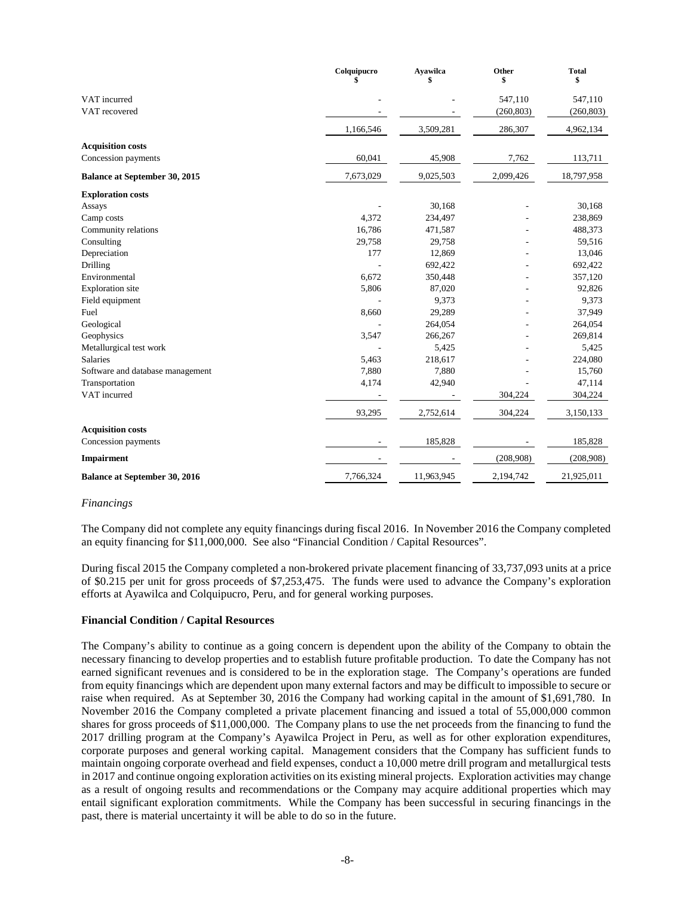|                                      | Colquipucro | <b>Ayawilca</b><br>\$ | Other<br>\$ | <b>Total</b><br>\$ |
|--------------------------------------|-------------|-----------------------|-------------|--------------------|
| VAT incurred                         |             |                       | 547,110     | 547,110            |
| VAT recovered                        |             |                       | (260, 803)  | (260, 803)         |
|                                      | 1,166,546   | 3,509,281             | 286,307     | 4,962,134          |
| <b>Acquisition costs</b>             |             |                       |             |                    |
| Concession payments                  | 60,041      | 45,908                | 7,762       | 113,711            |
| <b>Balance at September 30, 2015</b> | 7,673,029   | 9,025,503             | 2,099,426   | 18,797,958         |
| <b>Exploration costs</b>             |             |                       |             |                    |
| Assays                               |             | 30,168                |             | 30,168             |
| Camp costs                           | 4,372       | 234,497               |             | 238,869            |
| Community relations                  | 16,786      | 471,587               |             | 488,373            |
| Consulting                           | 29,758      | 29,758                |             | 59,516             |
| Depreciation                         | 177         | 12,869                |             | 13,046             |
| Drilling                             |             | 692,422               |             | 692,422            |
| Environmental                        | 6,672       | 350,448               |             | 357,120            |
| <b>Exploration</b> site              | 5,806       | 87,020                |             | 92,826             |
| Field equipment                      |             | 9,373                 |             | 9,373              |
| Fuel                                 | 8,660       | 29,289                |             | 37,949             |
| Geological                           |             | 264,054               |             | 264,054            |
| Geophysics                           | 3,547       | 266,267               |             | 269,814            |
| Metallurgical test work              |             | 5,425                 |             | 5,425              |
| <b>Salaries</b>                      | 5,463       | 218,617               |             | 224,080            |
| Software and database management     | 7,880       | 7,880                 |             | 15,760             |
| Transportation                       | 4,174       | 42,940                |             | 47,114             |
| VAT incurred                         |             |                       | 304,224     | 304,224            |
|                                      | 93,295      | 2,752,614             | 304,224     | 3,150,133          |
| <b>Acquisition costs</b>             |             |                       |             |                    |
| Concession payments                  |             | 185,828               |             | 185,828            |
| <b>Impairment</b>                    |             |                       | (208,908)   | (208,908)          |
| <b>Balance at September 30, 2016</b> | 7,766,324   | 11,963,945            | 2,194,742   | 21,925,011         |

#### *Financings*

The Company did not complete any equity financings during fiscal 2016. In November 2016 the Company completed an equity financing for \$11,000,000. See also "Financial Condition / Capital Resources".

During fiscal 2015 the Company completed a non-brokered private placement financing of 33,737,093 units at a price of \$0.215 per unit for gross proceeds of \$7,253,475. The funds were used to advance the Company's exploration efforts at Ayawilca and Colquipucro, Peru, and for general working purposes.

#### **Financial Condition / Capital Resources**

The Company's ability to continue as a going concern is dependent upon the ability of the Company to obtain the necessary financing to develop properties and to establish future profitable production. To date the Company has not earned significant revenues and is considered to be in the exploration stage. The Company's operations are funded from equity financings which are dependent upon many external factors and may be difficult to impossible to secure or raise when required. As at September 30, 2016 the Company had working capital in the amount of \$1,691,780. In November 2016 the Company completed a private placement financing and issued a total of 55,000,000 common shares for gross proceeds of \$11,000,000. The Company plans to use the net proceeds from the financing to fund the 2017 drilling program at the Company's Ayawilca Project in Peru, as well as for other exploration expenditures, corporate purposes and general working capital. Management considers that the Company has sufficient funds to maintain ongoing corporate overhead and field expenses, conduct a 10,000 metre drill program and metallurgical tests in 2017 and continue ongoing exploration activities on its existing mineral projects. Exploration activities may change as a result of ongoing results and recommendations or the Company may acquire additional properties which may entail significant exploration commitments. While the Company has been successful in securing financings in the past, there is material uncertainty it will be able to do so in the future.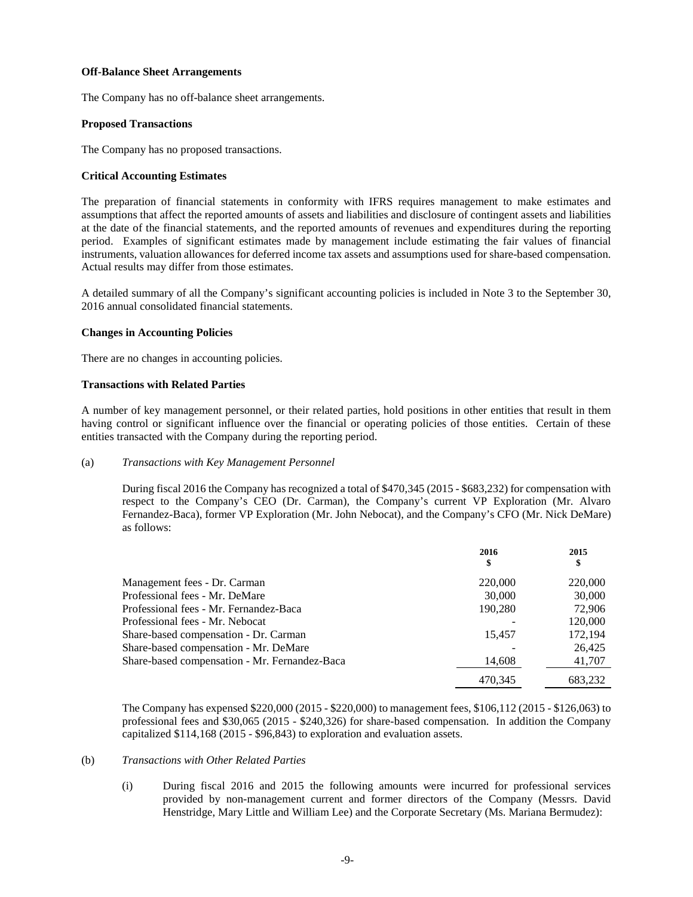#### **Off-Balance Sheet Arrangements**

The Company has no off-balance sheet arrangements.

#### **Proposed Transactions**

The Company has no proposed transactions.

## **Critical Accounting Estimates**

The preparation of financial statements in conformity with IFRS requires management to make estimates and assumptions that affect the reported amounts of assets and liabilities and disclosure of contingent assets and liabilities at the date of the financial statements, and the reported amounts of revenues and expenditures during the reporting period. Examples of significant estimates made by management include estimating the fair values of financial instruments, valuation allowances for deferred income tax assets and assumptions used for share-based compensation. Actual results may differ from those estimates.

A detailed summary of all the Company's significant accounting policies is included in Note 3 to the September 30, 2016 annual consolidated financial statements.

## **Changes in Accounting Policies**

There are no changes in accounting policies.

#### **Transactions with Related Parties**

A number of key management personnel, or their related parties, hold positions in other entities that result in them having control or significant influence over the financial or operating policies of those entities. Certain of these entities transacted with the Company during the reporting period.

#### (a) *Transactions with Key Management Personnel*

During fiscal 2016 the Company has recognized a total of \$470,345 (2015 - \$683,232) for compensation with respect to the Company's CEO (Dr. Carman), the Company's current VP Exploration (Mr. Alvaro Fernandez-Baca), former VP Exploration (Mr. John Nebocat), and the Company's CFO (Mr. Nick DeMare) as follows:

|                                               | 2016<br>\$ | 2015<br>\$ |
|-----------------------------------------------|------------|------------|
| Management fees - Dr. Carman                  | 220,000    | 220,000    |
| Professional fees - Mr. DeMare                | 30,000     | 30,000     |
| Professional fees - Mr. Fernandez-Baca        | 190.280    | 72,906     |
| Professional fees - Mr. Nebocat               |            | 120,000    |
| Share-based compensation - Dr. Carman         | 15.457     | 172,194    |
| Share-based compensation - Mr. DeMare         |            | 26.425     |
| Share-based compensation - Mr. Fernandez-Baca | 14,608     | 41,707     |
|                                               | 470.345    | 683.232    |

The Company has expensed \$220,000 (2015 - \$220,000) to management fees, \$106,112 (2015 - \$126,063) to professional fees and \$30,065 (2015 - \$240,326) for share-based compensation. In addition the Company capitalized \$114,168 (2015 - \$96,843) to exploration and evaluation assets.

## (b) *Transactions with Other Related Parties*

(i) During fiscal 2016 and 2015 the following amounts were incurred for professional services provided by non-management current and former directors of the Company (Messrs. David Henstridge, Mary Little and William Lee) and the Corporate Secretary (Ms. Mariana Bermudez):